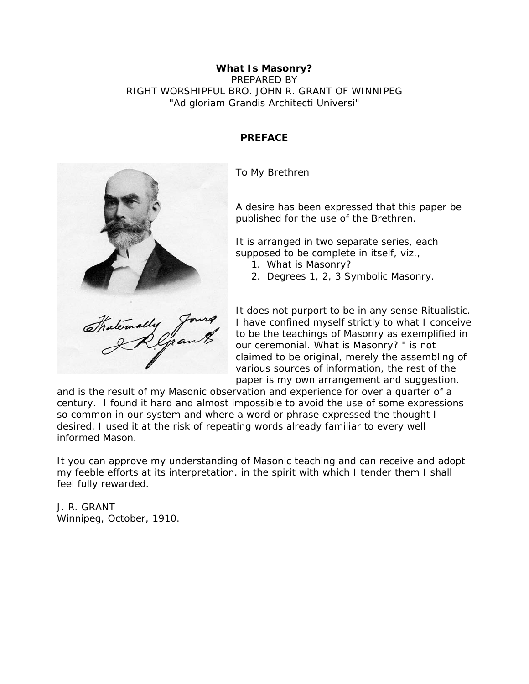### **What Is Masonry?**  PREPARED BY RIGHT WORSHIPFUL BRO. JOHN R. GRANT OF WINNIPEG *"Ad gloriam Grandis Architecti Universi"*

# **PREFACE**

To My Brethren

A desire has been expressed that this paper be published for the use of the Brethren.

It is arranged in two separate series, each supposed to be complete in itself, viz.,

- 1. What is Masonry?
- 2. Degrees 1, 2, 3 Symbolic Masonry.

It does not purport to be in any sense Ritualistic. I have confined myself strictly to what I conceive to be the teachings of Masonry as exemplified in our ceremonial. What is Masonry? " is not claimed to be original, merely the assembling of various sources of information, the rest of the paper is my own arrangement and suggestion.

and is the result of my Masonic observation and experience for over a quarter of a century. I found it hard and almost impossible to avoid the use of some expressions so common in our system and where a word or phrase expressed the thought I desired. I used it at the risk of repeating words already familiar to every well informed Mason.

It you can approve my understanding of Masonic teaching and can receive and adopt my feeble efforts at its interpretation. in the spirit with which I tender them I shall feel fully rewarded.

J. R. GRANT Winnipeg, October, 1910.

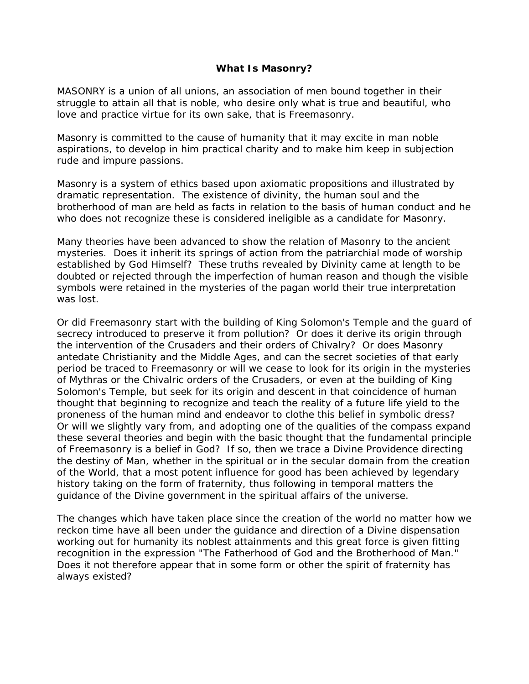#### **What Is Masonry?**

MASONRY is a union of all unions, an association of men bound together in their struggle to attain all that is noble, who desire only what is true and beautiful, who love and practice virtue for its own sake, that is Freemasonry.

Masonry is committed to the cause of humanity that it may excite in man noble aspirations, to develop in him practical charity and to make him keep in subjection rude and impure passions.

Masonry is a system of ethics based upon axiomatic propositions and illustrated by dramatic representation. The existence of divinity, the human soul and the brotherhood of man are held as facts in relation to the basis of human conduct and he who does not recognize these is considered ineligible as a candidate for Masonry.

Many theories have been advanced to show the relation of Masonry to the ancient mysteries. Does it inherit its springs of action from the patriarchial mode of worship established by God Himself? These truths revealed by Divinity came at length to be doubted or rejected through the imperfection of human reason and though the visible symbols were retained in the mysteries of the pagan world their true interpretation was lost.

Or did Freemasonry start with the building of King Solomon's Temple and the guard of secrecy introduced to preserve it from pollution? Or does it derive its origin through the intervention of the Crusaders and their orders of Chivalry? Or does Masonry antedate Christianity and the Middle Ages, and can the secret societies of that early period be traced to Freemasonry or will we cease to look for its origin in the mysteries of Mythras or the Chivalric orders of the Crusaders, or even at the building of King Solomon's Temple, but seek for its origin and descent in that coincidence of human thought that beginning to recognize and teach the reality of a future life yield to the proneness of the human mind and endeavor to clothe this belief in symbolic dress? Or will we slightly vary from, and adopting one of the qualities of the compass expand these several theories and begin with the basic thought that the fundamental principle of Freemasonry is a belief in God? If so, then we trace a Divine Providence directing the destiny of Man, whether in the spiritual or in the secular domain from the creation of the World, that a most potent influence for good has been achieved by legendary history taking on the form of fraternity, thus following in temporal matters the guidance of the Divine government in the spiritual affairs of the universe.

The changes which have taken place since the creation of the world no matter how we reckon time have all been under the guidance and direction of a Divine dispensation working out for humanity its noblest attainments and this great force is given fitting recognition in the expression "The Fatherhood of God and the Brotherhood of Man." Does it not therefore appear that in some form or other the spirit of fraternity has always existed?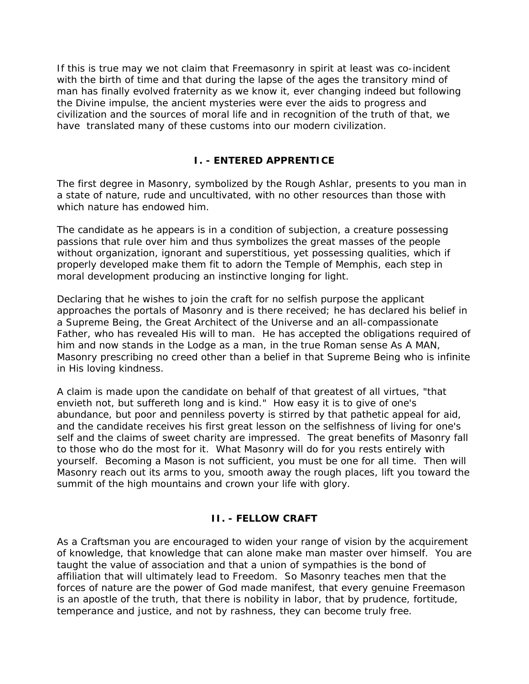If this is true may we not claim that Freemasonry in spirit at least was co-incident with the birth of time and that during the lapse of the ages the transitory mind of man has finally evolved fraternity as we know it, ever changing indeed but following the Divine impulse, the ancient mysteries were ever the aids to progress and civilization and the sources of moral life and in recognition of the truth of that, we have translated many of these customs into our modern civilization.

## **I. - ENTERED APPRENTICE**

The first degree in Masonry, symbolized by the Rough Ashlar, presents to you man in a state of nature, rude and uncultivated, with no other resources than those with which nature has endowed him.

The candidate as he appears is in a condition of subjection, a creature possessing passions that rule over him and thus symbolizes the great masses of the people without organization, ignorant and superstitious, yet possessing qualities, which if properly developed make them fit to adorn the Temple of Memphis, each step in moral development producing an instinctive longing for light.

Declaring that he wishes to join the craft for no selfish purpose the applicant approaches the portals of Masonry and is there received; he has declared his belief in a Supreme Being, the Great Architect of the Universe and an all-compassionate Father, who has revealed His will to man. He has accepted the obligations required of him and now stands in the Lodge as a man, in the true Roman sense As A MAN, Masonry prescribing no creed other than a belief in that Supreme Being who is infinite in His loving kindness.

A claim is made upon the candidate on behalf of that greatest of all virtues, "that envieth not, but suffereth long and is kind." How easy it is to give of one's abundance, but poor and penniless poverty is stirred by that pathetic appeal for aid, and the candidate receives his first great lesson on the selfishness of living for one's self and the claims of sweet charity are impressed. The great benefits of Masonry fall to those who do the most for it. What Masonry will do for you rests entirely with yourself. Becoming a Mason is not sufficient, you must be one for all time. Then will Masonry reach out its arms to you, smooth away the rough places, lift you toward the summit of the high mountains and crown your life with glory.

# **II. - FELLOW CRAFT**

As a Craftsman you are encouraged to widen your range of vision by the acquirement of knowledge, that knowledge that can alone make man master over himself. You are taught the value of association and that a union of sympathies is the bond of affiliation that will ultimately lead to Freedom. So Masonry teaches men that the forces of nature are the power of God made manifest, that every genuine Freemason is an apostle of the truth, that there is nobility in labor, that by prudence, fortitude, temperance and justice, and not by rashness, they can become truly free.